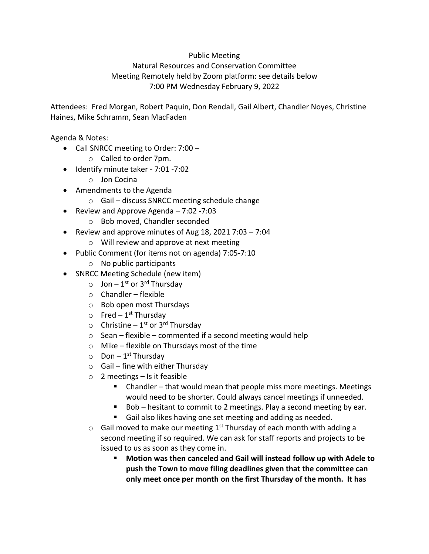## Public Meeting

## Natural Resources and Conservation Committee Meeting Remotely held by Zoom platform: see details below 7:00 PM Wednesday February 9, 2022

Attendees: Fred Morgan, Robert Paquin, Don Rendall, Gail Albert, Chandler Noyes, Christine Haines, Mike Schramm, Sean MacFaden

Agenda & Notes:

- Call SNRCC meeting to Order: 7:00
	- o Called to order 7pm.
- Identify minute taker 7:01 -7:02
	- o Jon Cocina
- Amendments to the Agenda
	- o Gail discuss SNRCC meeting schedule change
- Review and Approve Agenda 7:02 -7:03
	- o Bob moved, Chandler seconded
- Review and approve minutes of Aug 18, 2021 7:03 7:04
	- o Will review and approve at next meeting
- Public Comment (for items not on agenda) 7:05-7:10
	- $\circ$  No public participants
- SNRCC Meeting Schedule (new item)
	- $\circ$  Jon 1<sup>st</sup> or 3<sup>rd</sup> Thursday
	- $\circ$  Chandler flexible
	- o Bob open most Thursdays
	- o Fred 1<sup>st</sup> Thursday
	- $\circ$  Christine 1<sup>st</sup> or 3<sup>rd</sup> Thursday
	- $\circ$  Sean flexible commented if a second meeting would help
	- o Mike flexible on Thursdays most of the time
	- o Don 1<sup>st</sup> Thursday
	- $\circ$  Gail fine with either Thursday
	- $\circ$  2 meetings Is it feasible
		- Chandler that would mean that people miss more meetings. Meetings would need to be shorter. Could always cancel meetings if unneeded.
		- Bob hesitant to commit to 2 meetings. Play a second meeting by ear.
		- Gail also likes having one set meeting and adding as needed.
	- $\circ$  Gail moved to make our meeting 1<sup>st</sup> Thursday of each month with adding a second meeting if so required. We can ask for staff reports and projects to be issued to us as soon as they come in.
		- Motion was then canceled and Gail will instead follow up with Adele to **push the Town to move filing deadlines given that the committee can only meet once per month on the first Thursday of the month. It has**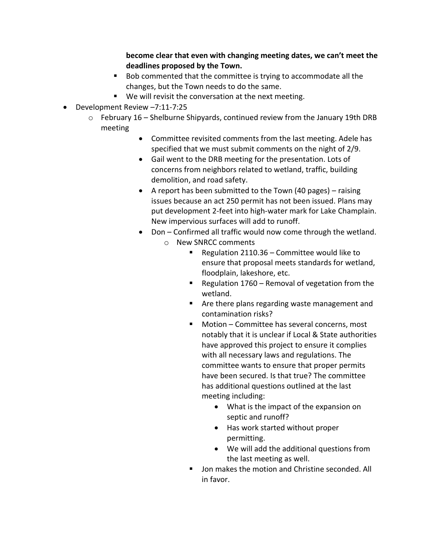**become clear that even with changing meeting dates, we can't meet the deadlines proposed by the Town.**

- Bob commented that the committee is trying to accommodate all the changes, but the Town needs to do the same.
- We will revisit the conversation at the next meeting.
- Development Review –7:11-7:25
	- $\circ$  February 16 Shelburne Shipyards, continued review from the January 19th DRB meeting
		- Committee revisited comments from the last meeting. Adele has specified that we must submit comments on the night of 2/9.
		- Gail went to the DRB meeting for the presentation. Lots of concerns from neighbors related to wetland, traffic, building demolition, and road safety.
		- A report has been submitted to the Town (40 pages) raising issues because an act 250 permit has not been issued. Plans may put development 2-feet into high-water mark for Lake Champlain. New impervious surfaces will add to runoff.
		- Don Confirmed all traffic would now come through the wetland. o New SNRCC comments
			- Regulation 2110.36 Committee would like to ensure that proposal meets standards for wetland, floodplain, lakeshore, etc.
			- Regulation 1760 Removal of vegetation from the wetland.
			- Are there plans regarding waste management and contamination risks?
			- Motion Committee has several concerns, most notably that it is unclear if Local & State authorities have approved this project to ensure it complies with all necessary laws and regulations. The committee wants to ensure that proper permits have been secured. Is that true? The committee has additional questions outlined at the last meeting including:
				- What is the impact of the expansion on septic and runoff?
				- Has work started without proper permitting.
				- We will add the additional questions from the last meeting as well.
			- Jon makes the motion and Christine seconded. All in favor.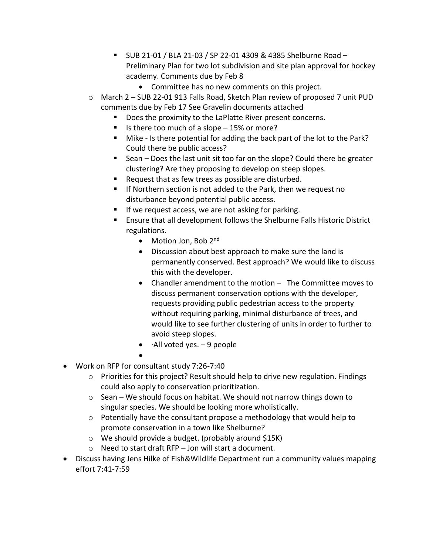- SUB 21-01 / BLA 21-03 / SP 22-01 4309 & 4385 Shelburne Road Preliminary Plan for two lot subdivision and site plan approval for hockey academy. Comments due by Feb 8
	- Committee has no new comments on this project.
- o March 2 SUB 22-01 913 Falls Road, Sketch Plan review of proposed 7 unit PUD comments due by Feb 17 See Gravelin documents attached
	- Does the proximity to the LaPlatte River present concerns.
	- Is there too much of a slope  $-15%$  or more?
	- Mike Is there potential for adding the back part of the lot to the Park? Could there be public access?
	- Sean Does the last unit sit too far on the slope? Could there be greater clustering? Are they proposing to develop on steep slopes.
	- Request that as few trees as possible are disturbed.
	- If Northern section is not added to the Park, then we request no disturbance beyond potential public access.
	- If we request access, we are not asking for parking.
	- Ensure that all development follows the Shelburne Falls Historic District regulations.
		- Motion Jon, Bob 2<sup>nd</sup>
		- Discussion about best approach to make sure the land is permanently conserved. Best approach? We would like to discuss this with the developer.
		- Chandler amendment to the motion The Committee moves to discuss permanent conservation options with the developer, requests providing public pedestrian access to the property without requiring parking, minimal disturbance of trees, and would like to see further clustering of units in order to further to avoid steep slopes.
		- $\bullet$   $\cdot$  All voted yes.  $-9$  people
- • Work on RFP for consultant study 7:26-7:40
	- o Priorities for this project? Result should help to drive new regulation. Findings could also apply to conservation prioritization.
	- $\circ$  Sean We should focus on habitat. We should not narrow things down to singular species. We should be looking more wholistically.
	- $\circ$  Potentially have the consultant propose a methodology that would help to promote conservation in a town like Shelburne?
	- o We should provide a budget. (probably around \$15K)
	- o Need to start draft RFP Jon will start a document.
- Discuss having Jens Hilke of Fish&Wildlife Department run a community values mapping effort 7:41-7:59